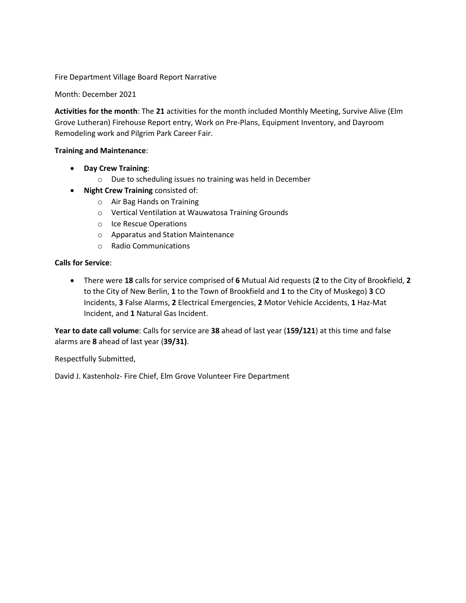Fire Department Village Board Report Narrative

Month: December 2021

**Activities for the month**: The **21** activities for the month included Monthly Meeting, Survive Alive (Elm Grove Lutheran) Firehouse Report entry, Work on Pre-Plans, Equipment Inventory, and Dayroom Remodeling work and Pilgrim Park Career Fair.

## **Training and Maintenance**:

- **Day Crew Training**:
	- o Due to scheduling issues no training was held in December
- **Night Crew Training** consisted of:
	- o Air Bag Hands on Training
	- o Vertical Ventilation at Wauwatosa Training Grounds
	- o Ice Rescue Operations
	- o Apparatus and Station Maintenance
	- o Radio Communications

## **Calls for Service**:

 There were **18** calls for service comprised of **6** Mutual Aid requests (**2** to the City of Brookfield, **2** to the City of New Berlin, **1** to the Town of Brookfield and **1** to the City of Muskego) **3** CO Incidents, **3** False Alarms, **2** Electrical Emergencies, **2** Motor Vehicle Accidents, **1** Haz-Mat Incident, and **1** Natural Gas Incident.

**Year to date call volume**: Calls for service are **38** ahead of last year (**159/121**) at this time and false alarms are **8** ahead of last year (**39/31)**.

Respectfully Submitted,

David J. Kastenholz- Fire Chief, Elm Grove Volunteer Fire Department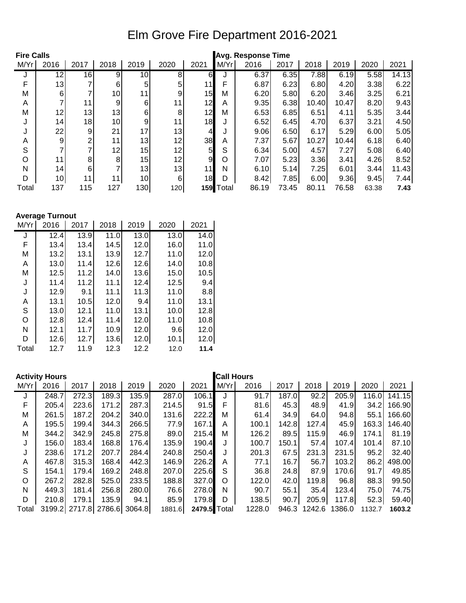## Elm Grove Fire Department 2016-2021

| <b>Fire Calls</b> |                 |                |      |      |      |                | <b>Avg. Response Time</b> |       |       |       |       |       |       |
|-------------------|-----------------|----------------|------|------|------|----------------|---------------------------|-------|-------|-------|-------|-------|-------|
| M/Yr              | 2016            | 2017           | 2018 | 2019 | 2020 | 2021           | M/Yr                      | 2016  | 2017  | 2018  | 2019  | 2020  | 2021  |
| J                 | $1\overline{2}$ | 16             | 9    | 10   | 8    | 6              |                           | 6.37  | 6.35  | 7.88  | 6.19  | 5.58  | 14.13 |
| F                 | 13              | 7              | 6    | 5    | 5    | 11             |                           | 6.87  | 6.23  | 6.80  | 4.20  | 3.38  | 6.22  |
| M                 | 6               | 7              | 10   | 11   | 9    | 15             | М                         | 6.20  | 5.80  | 6.20  | 3.46  | 3.25  | 6.21  |
| A                 |                 | 11             | 9    | 6    | 11   | 12             | A                         | 9.35  | 6.38  | 10.40 | 10.47 | 8.20  | 9.43  |
| M                 | 12              | 13             | 13   | 6    | 8    | 12             | М                         | 6.53  | 6.85  | 6.51  | 4.11  | 5.35  | 3.44  |
| J                 | 14              | 18             | 10   | 9    | 11   | 18             | J                         | 6.52  | 6.45  | 4.70  | 6.37  | 3.21  | 4.50  |
|                   | 22              | 9              | 21   | 17   | 13   | 4              |                           | 9.06  | 6.50  | 6.17  | 5.29  | 6.00  | 5.05  |
| Α                 | 9               | 2              | 11   | 13   | 12   | 38             | A                         | 7.37  | 5.67  | 10.27 | 10.44 | 6.18  | 6.40  |
| S                 |                 | 7              | 12   | 15   | 12   | 5 <sub>l</sub> | S                         | 6.34  | 5.00  | 4.57  | 7.27  | 5.08  | 6.40  |
| O                 | 11              | 8 <sup>1</sup> | 8    | 15   | 12   | 9              | O                         | 7.07  | 5.23  | 3.36  | 3.41  | 4.26  | 8.52  |
| N                 | 14              | 6              |      | 13   | 13   | 11             | N                         | 6.10  | 5.14  | 7.25  | 6.01  | 3.44  | 11.43 |
| D                 | 10              | 11             | 11   | 10   | 6    | 18             | D                         | 8.42  | 7.85  | 6.00  | 9.36  | 9.45  | 7.44  |
| Total             | 137             | 115            | 127  | 130  | 120  | 159            | Total                     | 86.19 | 73.45 | 80.11 | 76.58 | 63.38 | 7.43  |

**Average Turnout**

| M/Yr  | 2016 | 2017 | 2018 | 2019 | 2020 | 2021 |
|-------|------|------|------|------|------|------|
| J     | 12.4 | 13.9 | 11.0 | 13.0 | 13.0 | 14.0 |
| F     | 13.4 | 13.4 | 14.5 | 12.0 | 16.0 | 11.0 |
| M     | 13.2 | 13.1 | 13.9 | 12.7 | 11.0 | 12.0 |
| A     | 13.0 | 11.4 | 12.6 | 12.6 | 14.0 | 10.8 |
| Μ     | 12.5 | 11.2 | 14.0 | 13.6 | 15.0 | 10.5 |
| J     | 11.4 | 11.2 | 11.1 | 12.4 | 12.5 | 9.4  |
| J     | 12.9 | 9.1  | 11.1 | 11.3 | 11.0 | 8.8  |
| Α     | 13.1 | 10.5 | 12.0 | 9.4  | 11.0 | 13.1 |
| S     | 13.0 | 12.1 | 11.0 | 13.1 | 10.0 | 12.8 |
| O     | 12.8 | 12.4 | 11.4 | 12.0 | 11.0 | 10.8 |
| N     | 12.1 | 11.7 | 10.9 | 12.0 | 9.6  | 12.0 |
| D     | 12.6 | 12.7 | 13.6 | 12.0 | 10.1 | 12.0 |
| Total | 12.7 | 11.9 | 12.3 | 12.2 | 12.0 | 11.4 |

|       | <b>Activity Hours</b> |               |       |               |        |              | <b>Call Hours</b> |        |        |        |        |        |        |
|-------|-----------------------|---------------|-------|---------------|--------|--------------|-------------------|--------|--------|--------|--------|--------|--------|
| M/Yr  | 2016                  | 2017          | 2018  | 2019          | 2020   | 2021         | M/Yr              | 2016   | 2017   | 2018   | 2019   | 2020   | 2021   |
| J     | 248.7                 | 272.3         | 189.3 | 135.9         | 287.0  | 106.1        | J                 | 91.7   | 187.0  | 92.2   | 205.9  | 116.0  | 141.15 |
| F     | 205.4                 | 223.6         | 171.2 | 287.3         | 214.5  | 91.5         | F                 | 81.6   | 45.3   | 48.9   | 41.9   | 34.2   | 166.90 |
| M     | 261.5                 | 187.2         | 204.2 | 340.0         | 131.6  | 222.2        | М                 | 61.4   | 34.9   | 64.0   | 94.8   | 55.1   | 166.60 |
| A     | 195.5                 | 199.4         | 344.3 | 266.5         | 77.9   | 167.1        | A                 | 100.1  | 142.8I | 127.4  | 45.9   | 163.3  | 146.40 |
| М     | 344.2                 | 342.9         | 245.8 | 275.8         | 89.0   | 215.4        | М                 | 126.2  | 89.5   | 115.9I | 46.9   | 174.1  | 81.19  |
| J     | 156.0                 | 183.4         | 168.8 | 176.4         | 135.9  | 190.4        | J                 | 100.7  | 150.1  | 57.4   | 107.4  | 101.4  | 87.10  |
| J     | 238.6                 | 171.2         | 207.7 | 284.4         | 240.8  | 250.4        | J                 | 201.3  | 67.5   | 231.3  | 231.5  | 95.2   | 32.40  |
| A     | 467.8                 | 315.3         | 168.4 | 442.3         | 146.9  | 226.2        | A                 | 77.1   | 16.7   | 56.7   | 103.2  | 86.2   | 498.00 |
| S     | 154.1                 | 179.4         | 169.2 | 248.8         | 207.0  | 225.6        | S                 | 36.8   | 24.8   | 87.9   | 170.6I | 91.7   | 49.85  |
| O     | 267.2                 | 282.8         | 525.0 | 233.5         | 188.8  | 327.0        | O                 | 122.0  | 42.0   | 119.8  | 96.8   | 88.3   | 99.50  |
| N     | 449.3                 | 181.4         | 256.8 | 280.0         | 76.6   | 278.0        | N                 | 90.7   | 55.1   | 35.4   | 123.4  | 75.0   | 74.75  |
| D     | 210.8                 | 179.1         | 135.9 | 94.1          | 85.9   | 179.8        | D                 | 138.5  | 90.7   | 205.9  | 117.8  | 52.3   | 59.40  |
| Total |                       | 3199.2 2717.8 |       | 2786.6 3064.8 | 1881.6 | 2479.5 Total |                   | 1228.0 | 946.3  | 1242.6 | 1386.0 | 1132.7 | 1603.2 |
|       |                       |               |       |               |        |              |                   |        |        |        |        |        |        |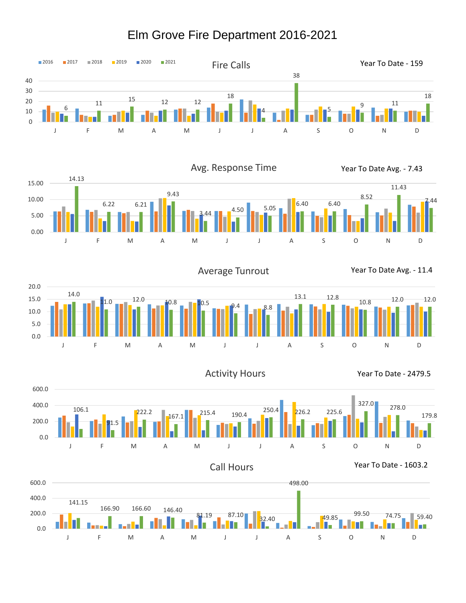## Elm Grove Fire Department 2016-2021





Average Tunrout Year To Date Avg. - 11.4



Activity Hours The Mear To Date - 2479.5





Call Hours Year To Date - 1603.2